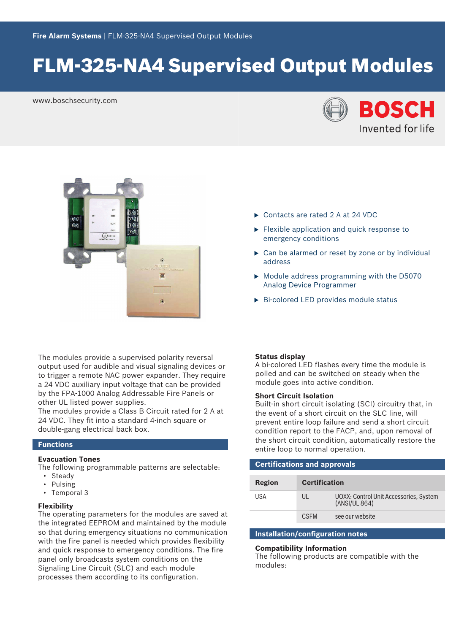# FLM-325-NA4 Supervised Output Modules

www.boschsecurity.com





The modules provide a supervised polarity reversal output used for audible and visual signaling devices or to trigger a remote NAC power expander. They require a 24 VDC auxiliary input voltage that can be provided by the FPA‑1000 Analog Addressable Fire Panels or other UL listed power supplies.

The modules provide a Class B Circuit rated for 2 A at 24 VDC. They fit into a standard 4‑inch square or double‑gang electrical back box.

# **Functions**

# **Evacuation Tones**

The following programmable patterns are selectable:

- Steady
- Pulsing
- Temporal 3

### **Flexibility**

The operating parameters for the modules are saved at the integrated EEPROM and maintained by the module so that during emergency situations no communication with the fire panel is needed which provides flexibility and quick response to emergency conditions. The fire panel only broadcasts system conditions on the Signaling Line Circuit (SLC) and each module processes them according to its configuration.

- ▶ Contacts are rated 2 A at 24 VDC
- $\blacktriangleright$  Flexible application and quick response to emergency conditions
- $\triangleright$  Can be alarmed or reset by zone or by individual address
- $\triangleright$  Module address programming with the D5070 Analog Device Programmer
- $\triangleright$  Bi-colored LED provides module status

### **Status display**

A bi‑colored LED flashes every time the module is polled and can be switched on steady when the module goes into active condition.

### **Short Circuit Isolation**

Built-in short circuit isolating (SCI) circuitry that, in the event of a short circuit on the SLC line, will prevent entire loop failure and send a short circuit condition report to the FACP, and, upon removal of the short circuit condition, automatically restore the entire loop to normal operation.

| <b>Certifications and approvals</b> |                      |                                                         |  |  |
|-------------------------------------|----------------------|---------------------------------------------------------|--|--|
| Region                              | <b>Certification</b> |                                                         |  |  |
| USA                                 | UL                   | UOXX: Control Unit Accessories, System<br>(ANSI/UL 864) |  |  |
|                                     | C.SEM                | see our website                                         |  |  |
|                                     |                      |                                                         |  |  |

# **Installation/configuration notes**

## **Compatibility Information**

The following products are compatible with the modules: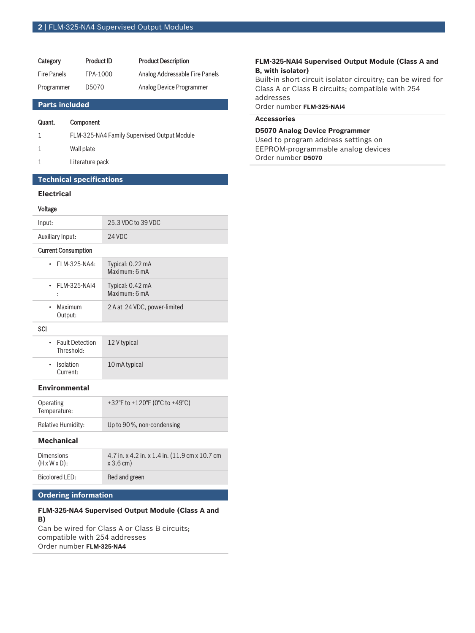| Category           | Product ID |
|--------------------|------------|
| <b>Fire Panels</b> | FPA-1000   |
| Programmer         | D5070      |

**Product Description** Analog Addressable Fire Panels Analog Device Programmer

## **Parts included**

### Quant. Component

| FLM-325-NA4 Family Supervised Output Module |  |
|---------------------------------------------|--|
|---------------------------------------------|--|

- 1 Wall plate
- 1 Literature pack

# **Technical specifications**

# **Electrical**

#### Voltage

| Input:                               | 25.3 VDC to 39 VDC                |
|--------------------------------------|-----------------------------------|
| Auxiliary Input:                     | 24 VDC                            |
| <b>Current Consumption</b>           |                                   |
| FLM-325-NA4:<br>$\bullet$            | Typical: 0.22 mA<br>Maximum: 6 mA |
| <b>FLM-325-NAI4</b><br>÷             | Typical: 0.42 mA<br>Maximum: 6 mA |
| Maximum<br>$\bullet$<br>Output:      | 2 A at 24 VDC, power-limited      |
| SCI                                  |                                   |
| <b>Fault Detection</b><br>Threshold: | 12 V typical                      |
| Isolation<br>Current:                | 10 mA typical                     |

#### **Environmental**

| Operating<br>Temperature: | +32°F to +120°F (0°C to +49°C) |
|---------------------------|--------------------------------|
| <b>Relative Humidity:</b> | Up to 90 %, non-condensing     |

# **Mechanical**

| <b>Dimensions</b>         | 4.7 in. x 4.2 in. x 1.4 in. (11.9 cm x 10.7 cm) |
|---------------------------|-------------------------------------------------|
| $(H \times W \times D)$ : | $x 3.6$ cm)                                     |
| Bicolored LED:            | Red and green                                   |

# **Ordering information**

# **FLM-325-NA4 Supervised Output Module (Class A and B)**

Can be wired for Class A or Class B circuits; compatible with 254 addresses Order number **FLM-325-NA4**

## **FLM-325-NAI4 Supervised Output Module (Class A and B, with isolator)**

Built-in short circuit isolator circuitry; can be wired for Class A or Class B circuits; compatible with 254 addresses Order number **FLM-325-NAI4**

#### **Accessories**

**D5070 Analog Device Programmer** Used to program address settings on EEPROM‑programmable analog devices Order number **D5070**